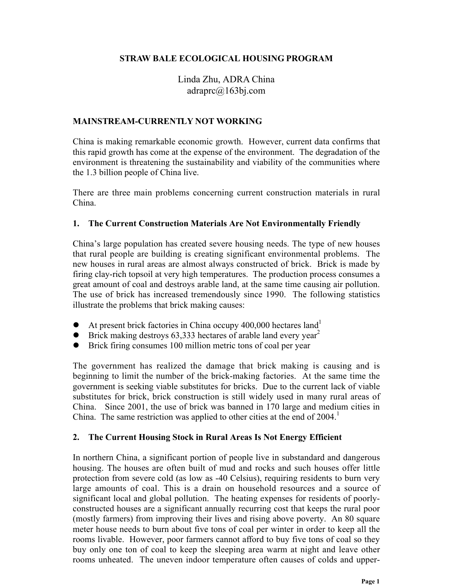## **STRAW BALE ECOLOGICAL HOUSING PROGRAM**

Linda Zhu, ADRA China adraprc@163bj.com

#### **MAINSTREAM-CURRENTLY NOT WORKING**

China is making remarkable economic growth. However, current data confirms that this rapid growth has come at the expense of the environment. The degradation of the environment is threatening the sustainability and viability of the communities where the 1.3 billion people of China live.

There are three main problems concerning current construction materials in rural China.

#### **1. The Current Construction Materials Are Not Environmentally Friendly**

China's large population has created severe housing needs. The type of new houses that rural people are building is creating significant environmental problems. The new houses in rural areas are almost always constructed of brick. Brick is made by firing clay-rich topsoil at very high temperatures. The production process consumes a great amount of coal and destroys arable land, at the same time causing air pollution. The use of brick has increased tremendously since 1990. The following statistics illustrate the problems that brick making causes:

- $\bullet$  At present brick factories in China occupy 400,000 hectares land<sup>1</sup>
- Brick making destroys  $63,333$  hectares of arable land every year<sup>2</sup>
- Brick firing consumes 100 million metric tons of coal per year

The government has realized the damage that brick making is causing and is beginning to limit the number of the brick-making factories. At the same time the government is seeking viable substitutes for bricks. Due to the current lack of viable substitutes for brick, brick construction is still widely used in many rural areas of China. Since 2001, the use of brick was banned in 170 large and medium cities in China. The same restriction was applied to other cities at the end of 2004.<sup>1</sup>

#### **2. The Current Housing Stock in Rural Areas Is Not Energy Efficient**

In northern China, a significant portion of people live in substandard and dangerous housing. The houses are often built of mud and rocks and such houses offer little protection from severe cold (as low as -40 Celsius), requiring residents to burn very large amounts of coal. This is a drain on household resources and a source of significant local and global pollution. The heating expenses for residents of poorlyconstructed houses are a significant annually recurring cost that keeps the rural poor (mostly farmers) from improving their lives and rising above poverty. An 80 square meter house needs to burn about five tons of coal per winter in order to keep all the rooms livable. However, poor farmers cannot afford to buy five tons of coal so they buy only one ton of coal to keep the sleeping area warm at night and leave other rooms unheated. The uneven indoor temperature often causes of colds and upper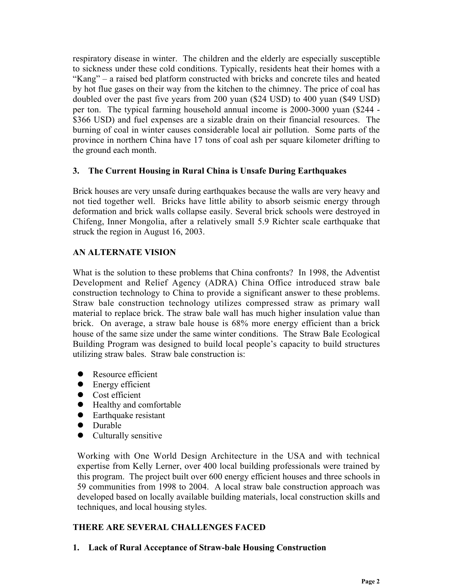respiratory disease in winter. The children and the elderly are especially susceptible to sickness under these cold conditions. Typically, residents heat their homes with a "Kang" – a raised bed platform constructed with bricks and concrete tiles and heated by hot flue gases on their way from the kitchen to the chimney. The price of coal has doubled over the past five years from 200 yuan (\$24 USD) to 400 yuan (\$49 USD) per ton. The typical farming household annual income is 2000-3000 yuan (\$244 - \$366 USD) and fuel expenses are a sizable drain on their financial resources. The burning of coal in winter causes considerable local air pollution. Some parts of the province in northern China have 17 tons of coal ash per square kilometer drifting to the ground each month.

## **3. The Current Housing in Rural China is Unsafe During Earthquakes**

Brick houses are very unsafe during earthquakes because the walls are very heavy and not tied together well. Bricks have little ability to absorb seismic energy through deformation and brick walls collapse easily. Several brick schools were destroyed in Chifeng, Inner Mongolia, after a relatively small 5.9 Richter scale earthquake that struck the region in August 16, 2003.

# **AN ALTERNATE VISION**

What is the solution to these problems that China confronts? In 1998, the Adventist Development and Relief Agency (ADRA) China Office introduced straw bale construction technology to China to provide a significant answer to these problems. Straw bale construction technology utilizes compressed straw as primary wall material to replace brick. The straw bale wall has much higher insulation value than brick. On average, a straw bale house is 68% more energy efficient than a brick house of the same size under the same winter conditions. The Straw Bale Ecological Building Program was designed to build local people's capacity to build structures utilizing straw bales. Straw bale construction is:

- Resource efficient
- $\bullet$  Energy efficient
- $\bullet$  Cost efficient
- $\bullet$  Healthy and comfortable
- $\bullet$  Earthquake resistant
- Durable
- $\bullet$  Culturally sensitive

Working with One World Design Architecture in the USA and with technical expertise from Kelly Lerner, over 400 local building professionals were trained by this program. The project built over 600 energy efficient houses and three schools in 59 communities from 1998 to 2004. A local straw bale construction approach was developed based on locally available building materials, local construction skills and techniques, and local housing styles.

# **THERE ARE SEVERAL CHALLENGES FACED**

**1. Lack of Rural Acceptance of Straw-bale Housing Construction**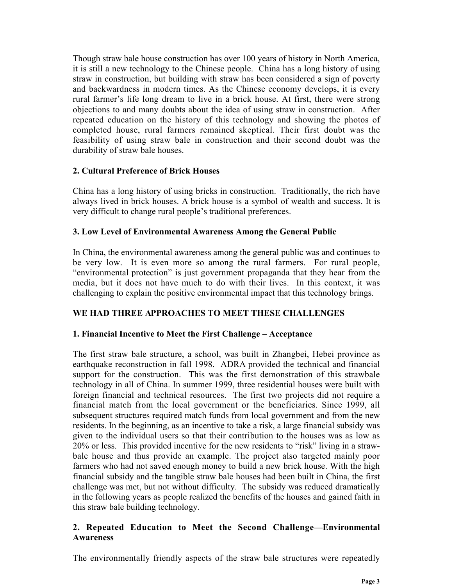Though straw bale house construction has over 100 years of history in North America, it is still a new technology to the Chinese people. China has a long history of using straw in construction, but building with straw has been considered a sign of poverty and backwardness in modern times. As the Chinese economy develops, it is every rural farmer's life long dream to live in a brick house. At first, there were strong objections to and many doubts about the idea of using straw in construction. After repeated education on the history of this technology and showing the photos of completed house, rural farmers remained skeptical. Their first doubt was the feasibility of using straw bale in construction and their second doubt was the durability of straw bale houses.

## **2. Cultural Preference of Brick Houses**

China has a long history of using bricks in construction. Traditionally, the rich have always lived in brick houses. A brick house is a symbol of wealth and success. It is very difficult to change rural people's traditional preferences.

## **3. Low Level of Environmental Awareness Among the General Public**

In China, the environmental awareness among the general public was and continues to be very low. It is even more so among the rural farmers. For rural people, "environmental protection" is just government propaganda that they hear from the media, but it does not have much to do with their lives. In this context, it was challenging to explain the positive environmental impact that this technology brings.

# **WE HAD THREE APPROACHES TO MEET THESE CHALLENGES**

# **1. Financial Incentive to Meet the First Challenge – Acceptance**

The first straw bale structure, a school, was built in Zhangbei, Hebei province as earthquake reconstruction in fall 1998. ADRA provided the technical and financial support for the construction. This was the first demonstration of this strawbale technology in all of China. In summer 1999, three residential houses were built with foreign financial and technical resources. The first two projects did not require a financial match from the local government or the beneficiaries. Since 1999, all subsequent structures required match funds from local government and from the new residents. In the beginning, as an incentive to take a risk, a large financial subsidy was given to the individual users so that their contribution to the houses was as low as 20% or less. This provided incentive for the new residents to "risk" living in a strawbale house and thus provide an example. The project also targeted mainly poor farmers who had not saved enough money to build a new brick house. With the high financial subsidy and the tangible straw bale houses had been built in China, the first challenge was met, but not without difficulty. The subsidy was reduced dramatically in the following years as people realized the benefits of the houses and gained faith in this straw bale building technology.

## **2. Repeated Education to Meet the Second Challenge—Environmental Awareness**

The environmentally friendly aspects of the straw bale structures were repeatedly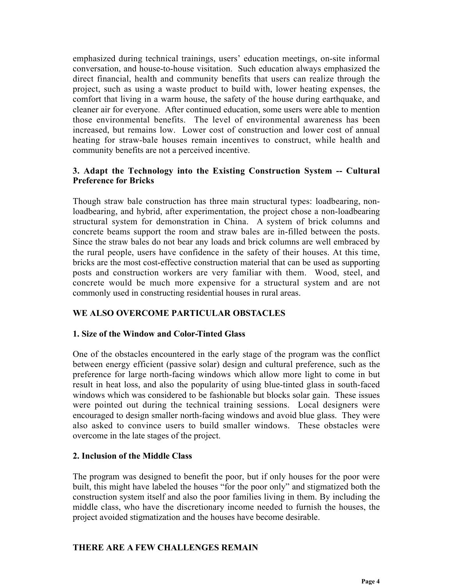emphasized during technical trainings, users' education meetings, on-site informal conversation, and house-to-house visitation. Such education always emphasized the direct financial, health and community benefits that users can realize through the project, such as using a waste product to build with, lower heating expenses, the comfort that living in a warm house, the safety of the house during earthquake, and cleaner air for everyone. After continued education, some users were able to mention those environmental benefits. The level of environmental awareness has been increased, but remains low. Lower cost of construction and lower cost of annual heating for straw-bale houses remain incentives to construct, while health and community benefits are not a perceived incentive.

## **3. Adapt the Technology into the Existing Construction System -- Cultural Preference for Bricks**

Though straw bale construction has three main structural types: loadbearing, nonloadbearing, and hybrid, after experimentation, the project chose a non-loadbearing structural system for demonstration in China. A system of brick columns and concrete beams support the room and straw bales are in-filled between the posts. Since the straw bales do not bear any loads and brick columns are well embraced by the rural people, users have confidence in the safety of their houses. At this time, bricks are the most cost-effective construction material that can be used as supporting posts and construction workers are very familiar with them. Wood, steel, and concrete would be much more expensive for a structural system and are not commonly used in constructing residential houses in rural areas.

# **WE ALSO OVERCOME PARTICULAR OBSTACLES**

## **1. Size of the Window and Color-Tinted Glass**

One of the obstacles encountered in the early stage of the program was the conflict between energy efficient (passive solar) design and cultural preference, such as the preference for large north-facing windows which allow more light to come in but result in heat loss, and also the popularity of using blue-tinted glass in south-faced windows which was considered to be fashionable but blocks solar gain. These issues were pointed out during the technical training sessions. Local designers were encouraged to design smaller north-facing windows and avoid blue glass. They were also asked to convince users to build smaller windows. These obstacles were overcome in the late stages of the project.

## **2. Inclusion of the Middle Class**

The program was designed to benefit the poor, but if only houses for the poor were built, this might have labeled the houses "for the poor only" and stigmatized both the construction system itself and also the poor families living in them. By including the middle class, who have the discretionary income needed to furnish the houses, the project avoided stigmatization and the houses have become desirable.

## **THERE ARE A FEW CHALLENGES REMAIN**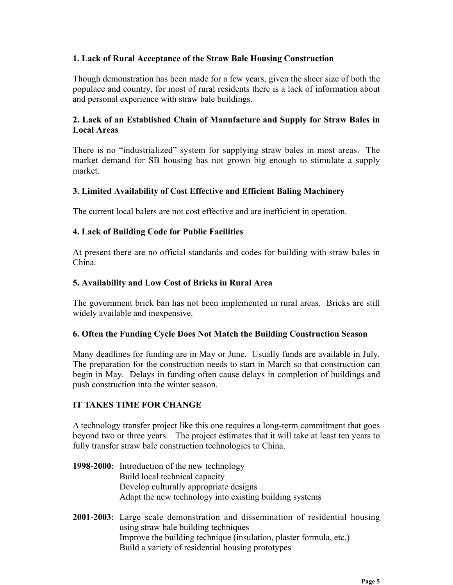#### **1. Lack of Rural Acceptance of the Straw Bale Housing Construction**

Though demonstration has been made for a few years, given the sheer size of both the populace and country, for most of rural residents there is a lack of information about and personal experience with straw bale buildings.

## **2. Lack of an Established Chain of Manufacture and Supply for Straw Bales in Local Areas**

There is no "industrialized" system for supplying straw bales in most areas. The market demand for SB housing has not grown big enough to stimulate a supply market.

## **3. Limited Availability of Cost Effective and Efficient Baling Machinery**

The current local balers are not cost effective and are inefficient in operation.

#### **4. Lack of Building Code for Public Facilities**

At present there are no official standards and codes for building with straw bales in China.

#### **5. Availability and Low Cost of Bricks in Rural Area**

The government brick ban has not been implemented in rural areas. Bricks are still widely available and inexpensive.

#### **6. Often the Funding Cycle Does Not Match the Building Construction Season**

Many deadlines for funding are in May or June. Usually funds are available in July. The preparation for the construction needs to start in March so that construction can begin in May. Delays in funding often cause delays in completion of buildings and push construction into the winter season.

## **IT TAKES TIME FOR CHANGE**

A technology transfer project like this one requires a long-term commitment that goes beyond two or three years. The project estimates that it will take at least ten years to fully transfer straw bale construction technologies to China.

- **1998-2000**: Introduction of the new technology Build local technical capacity Develop culturally appropriate designs Adapt the new technology into existing building systems
- **2001-2003**: Large scale demonstration and dissemination of residential housing using straw bale building techniques Improve the building technique (insulation, plaster formula, etc.) Build a variety of residential housing prototypes